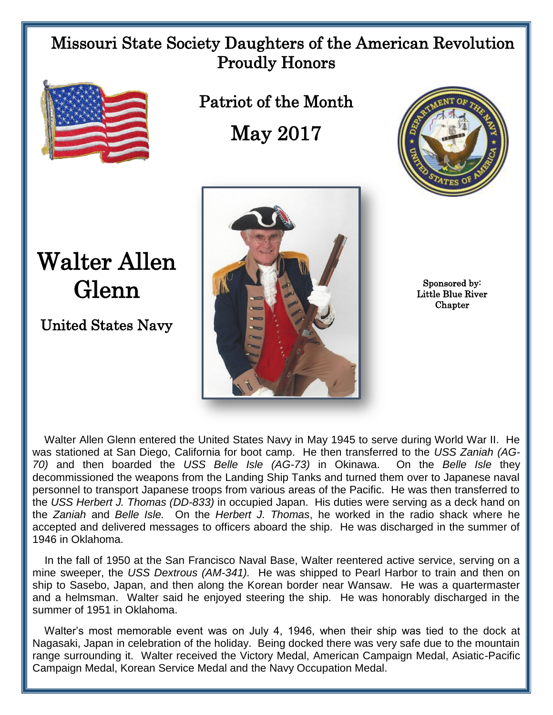## Missouri State Society Daughters of the American Revolution Proudly Honors



Patriot of the Month

May 2017



## Walter Allen Glenn

United States Navy



Sponsored by: Little Blue River **Chapter** 

 Walter Allen Glenn entered the United States Navy in May 1945 to serve during World War II. He was stationed at San Diego, California for boot camp. He then transferred to the *USS Zaniah (AG-70)* and then boarded the *USS Belle Isle (AG-73)* in Okinawa. On the *Belle Isle* they decommissioned the weapons from the Landing Ship Tanks and turned them over to Japanese naval personnel to transport Japanese troops from various areas of the Pacific. He was then transferred to the *USS Herbert J. Thomas (DD-833)* in occupied Japan. His duties were serving as a deck hand on the *Zaniah* and *Belle Isle.* On the *Herbert J. Thomas*, he worked in the radio shack where he accepted and delivered messages to officers aboard the ship. He was discharged in the summer of 1946 in Oklahoma.

 In the fall of 1950 at the San Francisco Naval Base, Walter reentered active service, serving on a mine sweeper, the *USS Dextrous (AM-341).* He was shipped to Pearl Harbor to train and then on ship to Sasebo, Japan, and then along the Korean border near Wansaw. He was a quartermaster and a helmsman. Walter said he enjoyed steering the ship. He was honorably discharged in the summer of 1951 in Oklahoma.

 Walter's most memorable event was on July 4, 1946, when their ship was tied to the dock at Nagasaki, Japan in celebration of the holiday. Being docked there was very safe due to the mountain range surrounding it. Walter received the Victory Medal, American Campaign Medal, Asiatic-Pacific Campaign Medal, Korean Service Medal and the Navy Occupation Medal.